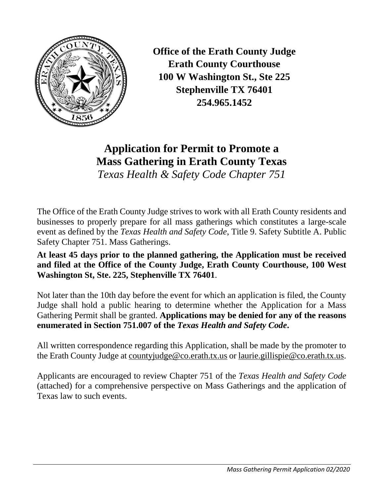

**Office of the Erath County Judge Erath County Courthouse 100 W Washington St., Ste 225 Stephenville TX 76401 254.965.1452**

**Application for Permit to Promote a Mass Gathering in Erath County Texas**  *Texas Health & Safety Code Chapter 751*

The Office of the Erath County Judge strives to work with all Erath County residents and businesses to properly prepare for all mass gatherings which constitutes a large-scale event as defined by the *Texas Health and Safety Code*, Title 9. Safety Subtitle A. Public Safety Chapter 751. Mass Gatherings.

**At least 45 days prior to the planned gathering, the Application must be received and filed at the Office of the County Judge, Erath County Courthouse, 100 West Washington St, Ste. 225, Stephenville TX 76401**.

Not later than the 10th day before the event for which an application is filed, the County Judge shall hold a public hearing to determine whether the Application for a Mass Gathering Permit shall be granted. **Applications may be denied for any of the reasons enumerated in Section 751.007 of the** *Texas Health and Safety Code***.**

All written correspondence regarding this Application, shall be made by the promoter to the Erath County Judge at [countyjudge@co.erath.tx.us](mailto:countyjudge@co.erath.tx.us) or laurie.gillispie@co.erath.tx.us.

Applicants are encouraged to review Chapter 751 of the *Texas Health and Safety Code* (attached) for a comprehensive perspective on Mass Gatherings and the application of Texas law to such events.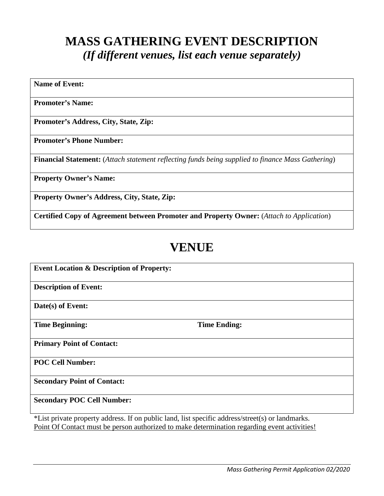## **MASS GATHERING EVENT DESCRIPTION** *(If different venues, list each venue separately)*

**Name of Event:**

**Promoter's Name:**

**Promoter's Address, City, State, Zip:**

**Promoter's Phone Number:**

**Financial Statement:** (*Attach statement reflecting funds being supplied to finance Mass Gathering*)

**Property Owner's Name:**

**Property Owner's Address, City, State, Zip:**

**Certified Copy of Agreement between Promoter and Property Owner:** (*Attach to Application*)

# **VENUE**

**Event Location & Description of Property: Description of Event: Date(s) of Event: Time Beginning:** Time Ending: **Primary Point of Contact: POC Cell Number: Secondary Point of Contact: Secondary POC Cell Number:**

\*List private property address. If on public land, list specific address/street(s) or landmarks. Point Of Contact must be person authorized to make determination regarding event activities!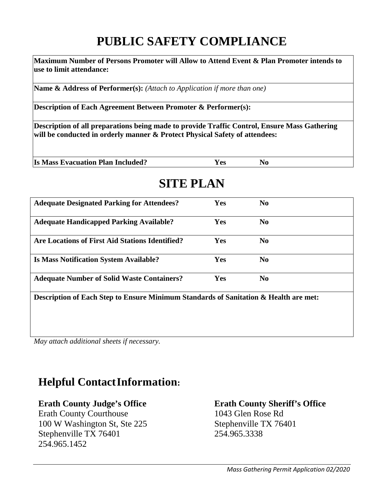# **PUBLIC SAFETY COMPLIANCE**

**Maximum Number of Persons Promoter will Allow to Attend Event & Plan Promoter intends to use to limit attendance:**

**Name & Address of Performer(s):** *(Attach to Application if more than one)*

**Description of Each Agreement Between Promoter & Performer(s):** 

**Description of all preparations being made to provide Traffic Control, Ensure Mass Gathering will be conducted in orderly manner & Protect Physical Safety of attendees:**

| <b>Is Mass Evacuation Plan Included?</b><br>Y es |
|--------------------------------------------------|
|--------------------------------------------------|

# **SITE PLAN**

| <b>Adequate Designated Parking for Attendees?</b>                                    | <b>Yes</b> | N <sub>0</sub> |  |  |
|--------------------------------------------------------------------------------------|------------|----------------|--|--|
| <b>Adequate Handicapped Parking Available?</b>                                       | Yes        | N <sub>0</sub> |  |  |
| <b>Are Locations of First Aid Stations Identified?</b>                               | Yes        | N <sub>0</sub> |  |  |
| <b>Is Mass Notification System Available?</b>                                        | Yes        | N <sub>0</sub> |  |  |
| <b>Adequate Number of Solid Waste Containers?</b>                                    | Yes        | N <sub>0</sub> |  |  |
| Description of Each Step to Ensure Minimum Standards of Sanitation & Health are met: |            |                |  |  |

*May attach additional sheets if necessary.*

### **Helpful ContactInformation:**

### **Erath County Judge's Office Erath County Sheriff's Office**

Erath County Courthouse 1043 Glen Rose Rd 100 W Washington St, Ste 225 Stephenville TX 76401 Stephenville TX 76401 254.965.3338 254.965.1452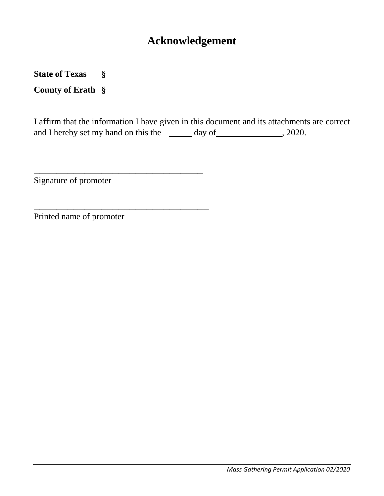### **Acknowledgement**

**State of Texas §**

**County of Erath §**

I affirm that the information I have given in this document and its attachments are correct and I hereby set my hand on this the  $\frac{d}{dx}$  day of  $\frac{1}{2020}$ , 2020.

Signature of promoter

\_\_\_\_\_\_\_\_\_\_\_\_\_\_\_\_\_\_\_\_\_\_\_\_\_\_\_\_\_\_

\_\_\_\_\_\_\_\_\_\_\_\_\_\_\_\_\_\_\_\_\_\_\_\_\_\_\_\_\_\_\_

Printed name of promoter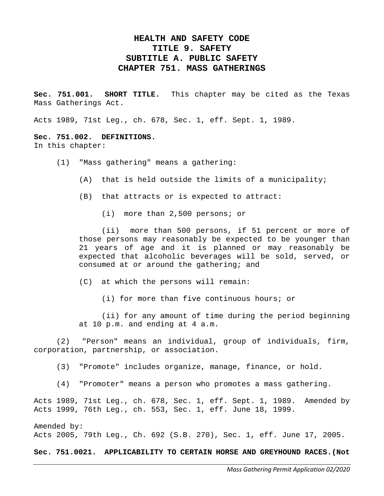#### **HEALTH AND SAFETY CODE TITLE 9. SAFETY SUBTITLE A. PUBLIC SAFETY CHAPTER 751. MASS GATHERINGS**

**Sec. 751.001. SHORT TITLE.** This chapter may be cited as the Texas Mass Gatherings Act.

Acts 1989, 71st Leg., ch. 678, Sec. 1, eff. Sept. 1, 1989.

#### **Sec. 751.002. DEFINITIONS.** In this chapter:

- (1) "Mass gathering" means a gathering:
	- (A) that is held outside the limits of a municipality;
	- (B) that attracts or is expected to attract:
		- (i) more than 2,500 persons; or

(ii) more than 500 persons, if 51 percent or more of those persons may reasonably be expected to be younger than 21 years of age and it is planned or may reasonably be expected that alcoholic beverages will be sold, served, or consumed at or around the gathering; and

(C) at which the persons will remain:

(i) for more than five continuous hours; or

(ii) for any amount of time during the period beginning at 10 p.m. and ending at 4 a.m.

(2) "Person" means an individual, group of individuals, firm, corporation, partnership, or association.

(3) "Promote" includes organize, manage, finance, or hold.

(4) "Promoter" means a person who promotes a mass gathering.

Acts 1989, 71st Leg., ch. 678, Sec. 1, eff. Sept. 1, 1989. Amended by Acts 1999, 76th Leg., ch. 553, Sec. 1, eff. June 18, 1999.

Amended by: Acts 2005, 79th Leg., Ch. 692 (S.B. 270), Sec. 1, eff. June 17, 2005.

**Sec. 751.0021. APPLICABILITY TO CERTAIN HORSE AND GREYHOUND RACES.(Not**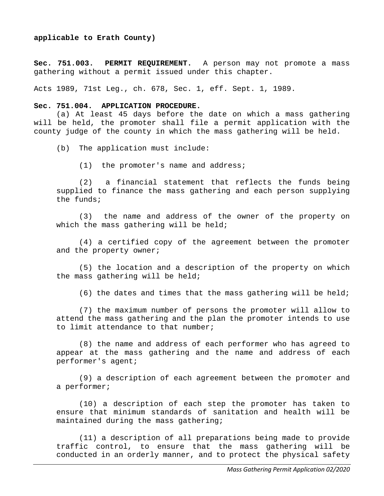#### **applicable to Erath County)**

**Sec. 751.003. PERMIT REQUIREMENT.** A person may not promote a mass gathering without a permit issued under this chapter.

Acts 1989, 71st Leg., ch. 678, Sec. 1, eff. Sept. 1, 1989.

#### **Sec. 751.004. APPLICATION PROCEDURE.**

(a) At least 45 days before the date on which a mass gathering will be held, the promoter shall file a permit application with the county judge of the county in which the mass gathering will be held.

(b) The application must include:

(1) the promoter's name and address;

(2) a financial statement that reflects the funds being supplied to finance the mass gathering and each person supplying the funds;

(3) the name and address of the owner of the property on which the mass gathering will be held;

(4) a certified copy of the agreement between the promoter and the property owner;

(5) the location and a description of the property on which the mass gathering will be held;

(6) the dates and times that the mass gathering will be held;

(7) the maximum number of persons the promoter will allow to attend the mass gathering and the plan the promoter intends to use to limit attendance to that number;

(8) the name and address of each performer who has agreed to appear at the mass gathering and the name and address of each performer's agent;

(9) a description of each agreement between the promoter and a performer;

(10) a description of each step the promoter has taken to ensure that minimum standards of sanitation and health will be maintained during the mass gathering;

(11) a description of all preparations being made to provide traffic control, to ensure that the mass gathering will be conducted in an orderly manner, and to protect the physical safety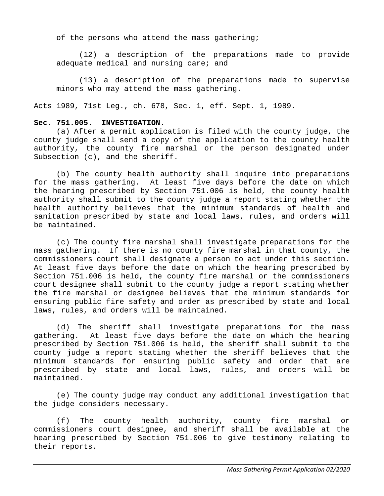of the persons who attend the mass gathering;

(12) a description of the preparations made to provide adequate medical and nursing care; and

(13) a description of the preparations made to supervise minors who may attend the mass gathering.

Acts 1989, 71st Leg., ch. 678, Sec. 1, eff. Sept. 1, 1989.

#### **Sec. 751.005. INVESTIGATION.**

(a) After a permit application is filed with the county judge, the county judge shall send a copy of the application to the county health authority, the county fire marshal or the person designated under Subsection (c), and the sheriff.

(b) The county health authority shall inquire into preparations for the mass gathering. At least five days before the date on which the hearing prescribed by Section 751.006 is held, the county health authority shall submit to the county judge a report stating whether the health authority believes that the minimum standards of health and sanitation prescribed by state and local laws, rules, and orders will be maintained.

(c) The county fire marshal shall investigate preparations for the mass gathering. If there is no county fire marshal in that county, the commissioners court shall designate a person to act under this section. At least five days before the date on which the hearing prescribed by Section 751.006 is held, the county fire marshal or the commissioners court designee shall submit to the county judge a report stating whether the fire marshal or designee believes that the minimum standards for ensuring public fire safety and order as prescribed by state and local laws, rules, and orders will be maintained.

(d) The sheriff shall investigate preparations for the mass gathering. At least five days before the date on which the hearing prescribed by Section 751.006 is held, the sheriff shall submit to the county judge a report stating whether the sheriff believes that the minimum standards for ensuring public safety and order that are prescribed by state and local laws, rules, and orders will be maintained.

(e) The county judge may conduct any additional investigation that the judge considers necessary.

(f) The county health authority, county fire marshal or commissioners court designee, and sheriff shall be available at the hearing prescribed by Section 751.006 to give testimony relating to their reports.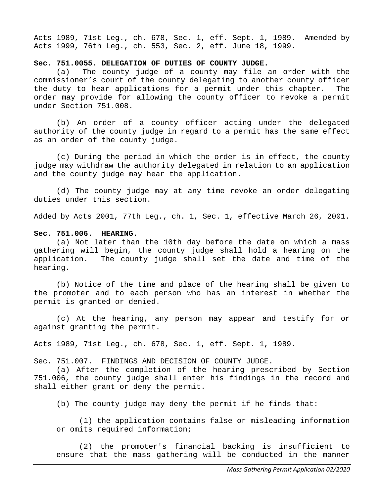Acts 1989, 71st Leg., ch. 678, Sec. 1, eff. Sept. 1, 1989. Amended by Acts 1999, 76th Leg., ch. 553, Sec. 2, eff. June 18, 1999.

# **Sec. 751.0055. DELEGATION OF DUTIES OF COUNTY JUDGE.**<br>(a) The county judge of a county may file

The county judge of a county may file an order with the commissioner's court of the county delegating to another county officer<br>the duty to hear applications for a permit under this chapter. The the duty to hear applications for a permit under this chapter. order may provide for allowing the county officer to revoke a permit under Section 751.008.

(b) An order of a county officer acting under the delegated authority of the county judge in regard to a permit has the same effect as an order of the county judge.

(c) During the period in which the order is in effect, the county judge may withdraw the authority delegated in relation to an application and the county judge may hear the application.

(d) The county judge may at any time revoke an order delegating duties under this section.

Added by Acts 2001, 77th Leg., ch. 1, Sec. 1, effective March 26, 2001.

#### **Sec. 751.006. HEARING.**

(a) Not later than the 10th day before the date on which a mass gathering will begin, the county judge shall hold a hearing on the application. The county judge shall set the date and time of the hearing.

(b) Notice of the time and place of the hearing shall be given to the promoter and to each person who has an interest in whether the permit is granted or denied.

(c) At the hearing, any person may appear and testify for or against granting the permit.

Acts 1989, 71st Leg., ch. 678, Sec. 1, eff. Sept. 1, 1989.

Sec. 751.007. FINDINGS AND DECISION OF COUNTY JUDGE.

(a) After the completion of the hearing prescribed by Section 751.006, the county judge shall enter his findings in the record and shall either grant or deny the permit.

(b) The county judge may deny the permit if he finds that:

(1) the application contains false or misleading information or omits required information;

(2) the promoter's financial backing is insufficient to ensure that the mass gathering will be conducted in the manner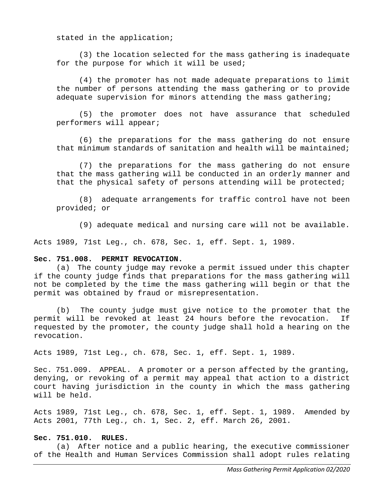stated in the application;

(3) the location selected for the mass gathering is inadequate for the purpose for which it will be used;

(4) the promoter has not made adequate preparations to limit the number of persons attending the mass gathering or to provide adequate supervision for minors attending the mass gathering;

(5) the promoter does not have assurance that scheduled performers will appear;

(6) the preparations for the mass gathering do not ensure that minimum standards of sanitation and health will be maintained;

(7) the preparations for the mass gathering do not ensure that the mass gathering will be conducted in an orderly manner and that the physical safety of persons attending will be protected;

(8) adequate arrangements for traffic control have not been provided; or

(9) adequate medical and nursing care will not be available.

Acts 1989, 71st Leg., ch. 678, Sec. 1, eff. Sept. 1, 1989.

#### **Sec. 751.008. PERMIT REVOCATION.**

(a) The county judge may revoke a permit issued under this chapter if the county judge finds that preparations for the mass gathering will not be completed by the time the mass gathering will begin or that the permit was obtained by fraud or misrepresentation.

(b) The county judge must give notice to the promoter that the<br>t will be revoked at least 24 hours before the revocation. If permit will be revoked at least 24 hours before the revocation. requested by the promoter, the county judge shall hold a hearing on the revocation.

Acts 1989, 71st Leg., ch. 678, Sec. 1, eff. Sept. 1, 1989.

Sec. 751.009. APPEAL. A promoter or a person affected by the granting, denying, or revoking of a permit may appeal that action to a district court having jurisdiction in the county in which the mass gathering will be held.

Acts 1989, 71st Leg., ch. 678, Sec. 1, eff. Sept. 1, 1989. Amended by Acts 2001, 77th Leg., ch. 1, Sec. 2, eff. March 26, 2001.

#### **Sec. 751.010. RULES.**

(a) After notice and a public hearing, the executive commissioner of the Health and Human Services Commission shall adopt rules relating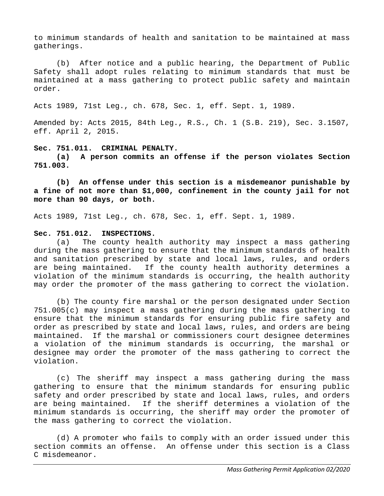to minimum standards of health and sanitation to be maintained at mass gatherings.

(b) After notice and a public hearing, the Department of Public Safety shall adopt rules relating to minimum standards that must be maintained at a mass gathering to protect public safety and maintain order.

Acts 1989, 71st Leg., ch. 678, Sec. 1, eff. Sept. 1, 1989.

Amended by: Acts 2015, 84th Leg., R.S., Ch. 1 (S.B. 219), Sec. 3.1507, eff. April 2, 2015.

#### **Sec. 751.011. CRIMINAL PENALTY.**

**(a) A person commits an offense if the person violates Section 751.003.**

**(b) An offense under this section is a misdemeanor punishable by a fine of not more than \$1,000, confinement in the county jail for not more than 90 days, or both.**

Acts 1989, 71st Leg., ch. 678, Sec. 1, eff. Sept. 1, 1989.

#### **Sec. 751.012. INSPECTIONS.**

(a) The county health authority may inspect a mass gathering during the mass gathering to ensure that the minimum standards of health and sanitation prescribed by state and local laws, rules, and orders are being maintained. If the county health authority determines a violation of the minimum standards is occurring, the health authority may order the promoter of the mass gathering to correct the violation.

(b) The county fire marshal or the person designated under Section 751.005(c) may inspect a mass gathering during the mass gathering to ensure that the minimum standards for ensuring public fire safety and order as prescribed by state and local laws, rules, and orders are being maintained. If the marshal or commissioners court designee determines a violation of the minimum standards is occurring, the marshal or designee may order the promoter of the mass gathering to correct the violation.

(c) The sheriff may inspect a mass gathering during the mass gathering to ensure that the minimum standards for ensuring public safety and order prescribed by state and local laws, rules, and orders are being maintained. If the sheriff determines a violation of the minimum standards is occurring, the sheriff may order the promoter of the mass gathering to correct the violation.

(d) A promoter who fails to comply with an order issued under this section commits an offense. An offense under this section is a Class C misdemeanor.